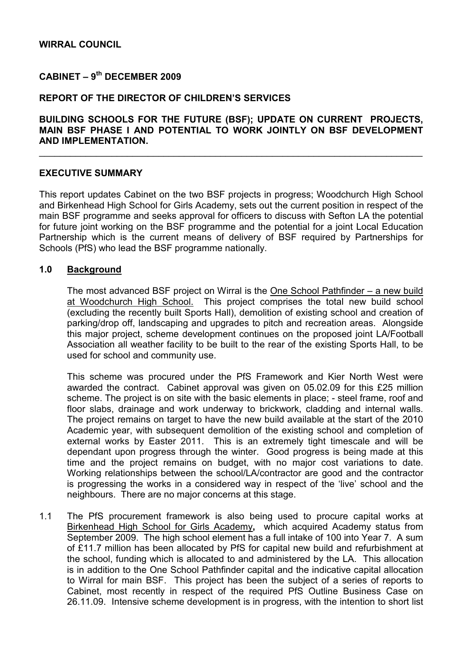# WIRRAL COUNCIL

# $C$ ABINET – 9<sup>th</sup> DECEMBER 2009

### REPORT OF THE DIRECTOR OF CHILDREN'S SERVICES

# BUILDING SCHOOLS FOR THE FUTURE (BSF); UPDATE ON CURRENT PROJECTS, MAIN BSF PHASE I AND POTENTIAL TO WORK JOINTLY ON BSF DEVELOPMENT AND IMPLEMENTATION.

\_\_\_\_\_\_\_\_\_\_\_\_\_\_\_\_\_\_\_\_\_\_\_\_\_\_\_\_\_\_\_\_\_\_\_\_\_\_\_\_\_\_\_\_\_\_\_\_\_\_\_\_\_\_\_\_\_\_\_\_\_\_\_\_\_\_\_\_\_\_\_\_\_\_

### EXECUTIVE SUMMARY

This report updates Cabinet on the two BSF projects in progress; Woodchurch High School and Birkenhead High School for Girls Academy, sets out the current position in respect of the main BSF programme and seeks approval for officers to discuss with Sefton LA the potential for future joint working on the BSF programme and the potential for a joint Local Education Partnership which is the current means of delivery of BSF required by Partnerships for Schools (PfS) who lead the BSF programme nationally.

# 1.0 Background

 The most advanced BSF project on Wirral is the One School Pathfinder – a new build at Woodchurch High School. This project comprises the total new build school (excluding the recently built Sports Hall), demolition of existing school and creation of parking/drop off, landscaping and upgrades to pitch and recreation areas. Alongside this major project, scheme development continues on the proposed joint LA/Football Association all weather facility to be built to the rear of the existing Sports Hall, to be used for school and community use.

 This scheme was procured under the PfS Framework and Kier North West were awarded the contract. Cabinet approval was given on 05.02.09 for this £25 million scheme. The project is on site with the basic elements in place; - steel frame, roof and floor slabs, drainage and work underway to brickwork, cladding and internal walls. The project remains on target to have the new build available at the start of the 2010 Academic year, with subsequent demolition of the existing school and completion of external works by Easter 2011. This is an extremely tight timescale and will be dependant upon progress through the winter. Good progress is being made at this time and the project remains on budget, with no major cost variations to date. Working relationships between the school/LA/contractor are good and the contractor is progressing the works in a considered way in respect of the 'live' school and the neighbours. There are no major concerns at this stage.

1.1 The PfS procurement framework is also being used to procure capital works at Birkenhead High School for Girls Academy, which acquired Academy status from September 2009. The high school element has a full intake of 100 into Year 7. A sum of £11.7 million has been allocated by PfS for capital new build and refurbishment at the school, funding which is allocated to and administered by the LA. This allocation is in addition to the One School Pathfinder capital and the indicative capital allocation to Wirral for main BSF. This project has been the subject of a series of reports to Cabinet, most recently in respect of the required PfS Outline Business Case on 26.11.09. Intensive scheme development is in progress, with the intention to short list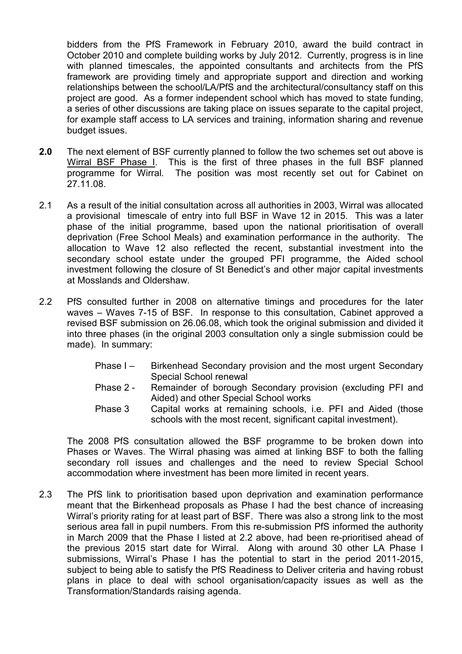bidders from the PfS Framework in February 2010, award the build contract in October 2010 and complete building works by July 2012. Currently, progress is in line with planned timescales, the appointed consultants and architects from the PfS framework are providing timely and appropriate support and direction and working relationships between the school/LA/PfS and the architectural/consultancy staff on this project are good. As a former independent school which has moved to state funding, a series of other discussions are taking place on issues separate to the capital project, for example staff access to LA services and training, information sharing and revenue budget issues.

- 2.0 The next element of BSF currently planned to follow the two schemes set out above is Wirral BSF Phase I. This is the first of three phases in the full BSF planned programme for Wirral. The position was most recently set out for Cabinet on 27.11.08.
- 2.1 As a result of the initial consultation across all authorities in 2003, Wirral was allocated a provisional timescale of entry into full BSF in Wave 12 in 2015. This was a later phase of the initial programme, based upon the national prioritisation of overall deprivation (Free School Meals) and examination performance in the authority. The allocation to Wave 12 also reflected the recent, substantial investment into the secondary school estate under the grouped PFI programme, the Aided school investment following the closure of St Benedict's and other major capital investments at Mosslands and Oldershaw.
- 2.2 PfS consulted further in 2008 on alternative timings and procedures for the later waves – Waves 7-15 of BSF. In response to this consultation, Cabinet approved a revised BSF submission on 26.06.08, which took the original submission and divided it into three phases (in the original 2003 consultation only a single submission could be made). In summary:
	- Phase I Birkenhead Secondary provision and the most urgent Secondary Special School renewal
	- Phase 2 Remainder of borough Secondary provision (excluding PFI and Aided) and other Special School works
	- Phase 3 Capital works at remaining schools, i.e. PFI and Aided (those schools with the most recent, significant capital investment).

 The 2008 PfS consultation allowed the BSF programme to be broken down into Phases or Waves. The Wirral phasing was aimed at linking BSF to both the falling secondary roll issues and challenges and the need to review Special School accommodation where investment has been more limited in recent years.

2.3 The PfS link to prioritisation based upon deprivation and examination performance meant that the Birkenhead proposals as Phase I had the best chance of increasing Wirral's priority rating for at least part of BSF. There was also a strong link to the most serious area fall in pupil numbers. From this re-submission PfS informed the authority in March 2009 that the Phase I listed at 2.2 above, had been re-prioritised ahead of the previous 2015 start date for Wirral. Along with around 30 other LA Phase I submissions, Wirral's Phase I has the potential to start in the period 2011-2015, subject to being able to satisfy the PfS Readiness to Deliver criteria and having robust plans in place to deal with school organisation/capacity issues as well as the Transformation/Standards raising agenda.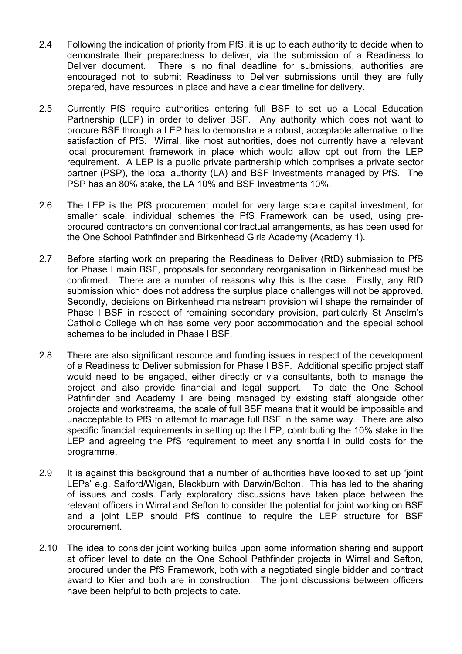- 2.4 Following the indication of priority from PfS, it is up to each authority to decide when to demonstrate their preparedness to deliver, via the submission of a Readiness to Deliver document. There is no final deadline for submissions, authorities are encouraged not to submit Readiness to Deliver submissions until they are fully prepared, have resources in place and have a clear timeline for delivery.
- 2.5 Currently PfS require authorities entering full BSF to set up a Local Education Partnership (LEP) in order to deliver BSF. Any authority which does not want to procure BSF through a LEP has to demonstrate a robust, acceptable alternative to the satisfaction of PfS. Wirral, like most authorities, does not currently have a relevant local procurement framework in place which would allow opt out from the LEP requirement. A LEP is a public private partnership which comprises a private sector partner (PSP), the local authority (LA) and BSF Investments managed by PfS. The PSP has an 80% stake, the LA 10% and BSF Investments 10%.
- 2.6 The LEP is the PfS procurement model for very large scale capital investment, for smaller scale, individual schemes the PfS Framework can be used, using preprocured contractors on conventional contractual arrangements, as has been used for the One School Pathfinder and Birkenhead Girls Academy (Academy 1).
- 2.7 Before starting work on preparing the Readiness to Deliver (RtD) submission to PfS for Phase I main BSF, proposals for secondary reorganisation in Birkenhead must be confirmed. There are a number of reasons why this is the case. Firstly, any RtD submission which does not address the surplus place challenges will not be approved. Secondly, decisions on Birkenhead mainstream provision will shape the remainder of Phase I BSF in respect of remaining secondary provision, particularly St Anselm's Catholic College which has some very poor accommodation and the special school schemes to be included in Phase I BSF.
- 2.8 There are also significant resource and funding issues in respect of the development of a Readiness to Deliver submission for Phase I BSF. Additional specific project staff would need to be engaged, either directly or via consultants, both to manage the project and also provide financial and legal support. To date the One School Pathfinder and Academy I are being managed by existing staff alongside other projects and workstreams, the scale of full BSF means that it would be impossible and unacceptable to PfS to attempt to manage full BSF in the same way. There are also specific financial requirements in setting up the LEP, contributing the 10% stake in the LEP and agreeing the PfS requirement to meet any shortfall in build costs for the programme.
- 2.9 It is against this background that a number of authorities have looked to set up 'joint LEPs' e.g. Salford/Wigan, Blackburn with Darwin/Bolton. This has led to the sharing of issues and costs. Early exploratory discussions have taken place between the relevant officers in Wirral and Sefton to consider the potential for joint working on BSF and a joint LEP should PfS continue to require the LEP structure for BSF procurement.
- 2.10 The idea to consider joint working builds upon some information sharing and support at officer level to date on the One School Pathfinder projects in Wirral and Sefton, procured under the PfS Framework, both with a negotiated single bidder and contract award to Kier and both are in construction. The joint discussions between officers have been helpful to both projects to date.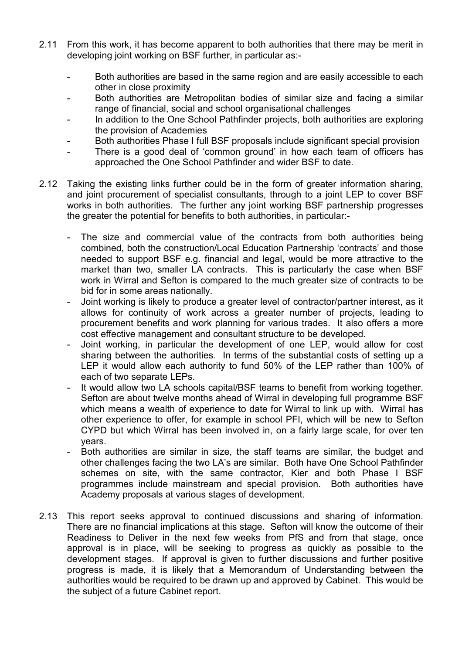- 2.11 From this work, it has become apparent to both authorities that there may be merit in developing joint working on BSF further, in particular as:-
	- Both authorities are based in the same region and are easily accessible to each other in close proximity
	- Both authorities are Metropolitan bodies of similar size and facing a similar range of financial, social and school organisational challenges
	- In addition to the One School Pathfinder projects, both authorities are exploring the provision of Academies
	- Both authorities Phase I full BSF proposals include significant special provision
	- There is a good deal of 'common ground' in how each team of officers has approached the One School Pathfinder and wider BSF to date.
- 2.12 Taking the existing links further could be in the form of greater information sharing, and joint procurement of specialist consultants, through to a joint LEP to cover BSF works in both authorities. The further any joint working BSF partnership progresses the greater the potential for benefits to both authorities, in particular:-
	- The size and commercial value of the contracts from both authorities being combined, both the construction/Local Education Partnership 'contracts' and those needed to support BSF e.g. financial and legal, would be more attractive to the market than two, smaller LA contracts. This is particularly the case when BSF work in Wirral and Sefton is compared to the much greater size of contracts to be bid for in some areas nationally.
	- Joint working is likely to produce a greater level of contractor/partner interest, as it allows for continuity of work across a greater number of projects, leading to procurement benefits and work planning for various trades. It also offers a more cost effective management and consultant structure to be developed.
	- Joint working, in particular the development of one LEP, would allow for cost sharing between the authorities. In terms of the substantial costs of setting up a LEP it would allow each authority to fund 50% of the LEP rather than 100% of each of two separate LEPs.
	- It would allow two LA schools capital/BSF teams to benefit from working together. Sefton are about twelve months ahead of Wirral in developing full programme BSF which means a wealth of experience to date for Wirral to link up with. Wirral has other experience to offer, for example in school PFI, which will be new to Sefton CYPD but which Wirral has been involved in, on a fairly large scale, for over ten years.
	- Both authorities are similar in size, the staff teams are similar, the budget and other challenges facing the two LA's are similar. Both have One School Pathfinder schemes on site, with the same contractor, Kier and both Phase I BSF programmes include mainstream and special provision. Both authorities have Academy proposals at various stages of development.
- 2.13 This report seeks approval to continued discussions and sharing of information. There are no financial implications at this stage. Sefton will know the outcome of their Readiness to Deliver in the next few weeks from PfS and from that stage, once approval is in place, will be seeking to progress as quickly as possible to the development stages. If approval is given to further discussions and further positive progress is made, it is likely that a Memorandum of Understanding between the authorities would be required to be drawn up and approved by Cabinet. This would be the subject of a future Cabinet report.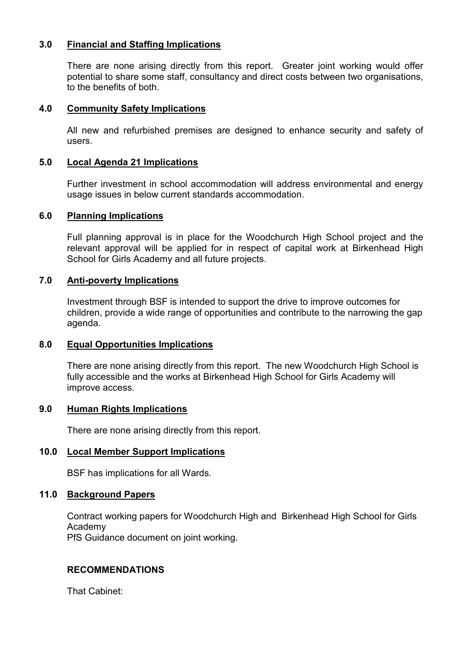# 3.0 Financial and Staffing Implications

 There are none arising directly from this report. Greater joint working would offer potential to share some staff, consultancy and direct costs between two organisations, to the benefits of both.

# 4.0 Community Safety Implications

 All new and refurbished premises are designed to enhance security and safety of users.

#### 5.0 Local Agenda 21 Implications

 Further investment in school accommodation will address environmental and energy usage issues in below current standards accommodation.

#### 6.0 Planning Implications

Full planning approval is in place for the Woodchurch High School project and the relevant approval will be applied for in respect of capital work at Birkenhead High School for Girls Academy and all future projects.

### 7.0 Anti-poverty Implications

Investment through BSF is intended to support the drive to improve outcomes for children, provide a wide range of opportunities and contribute to the narrowing the gap agenda.

# 8.0 Equal Opportunities Implications

There are none arising directly from this report. The new Woodchurch High School is fully accessible and the works at Birkenhead High School for Girls Academy will improve access.

#### 9.0 Human Rights Implications

There are none arising directly from this report.

#### 10.0 Local Member Support Implications

BSF has implications for all Wards.

#### 11.0 Background Papers

Contract working papers for Woodchurch High and Birkenhead High School for Girls Academy

PfS Guidance document on joint working.

# RECOMMENDATIONS

That Cabinet: